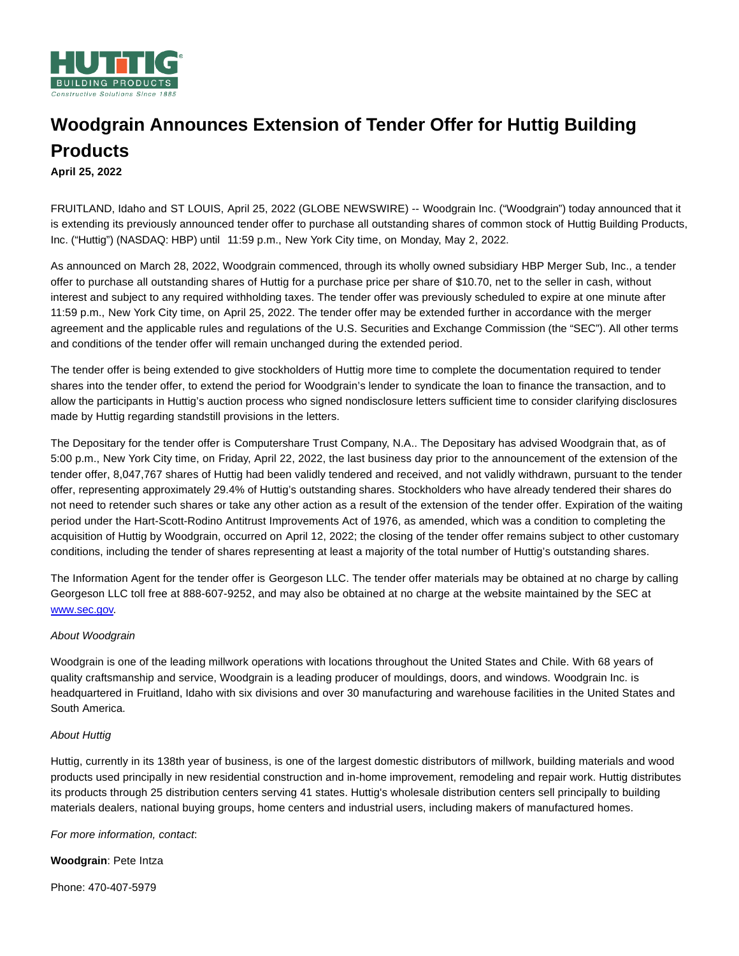

# **Woodgrain Announces Extension of Tender Offer for Huttig Building Products**

## **April 25, 2022**

FRUITLAND, Idaho and ST LOUIS, April 25, 2022 (GLOBE NEWSWIRE) -- Woodgrain Inc. ("Woodgrain") today announced that it is extending its previously announced tender offer to purchase all outstanding shares of common stock of Huttig Building Products, Inc. ("Huttig") (NASDAQ: HBP) until 11:59 p.m., New York City time, on Monday, May 2, 2022.

As announced on March 28, 2022, Woodgrain commenced, through its wholly owned subsidiary HBP Merger Sub, Inc., a tender offer to purchase all outstanding shares of Huttig for a purchase price per share of \$10.70, net to the seller in cash, without interest and subject to any required withholding taxes. The tender offer was previously scheduled to expire at one minute after 11:59 p.m., New York City time, on April 25, 2022. The tender offer may be extended further in accordance with the merger agreement and the applicable rules and regulations of the U.S. Securities and Exchange Commission (the "SEC"). All other terms and conditions of the tender offer will remain unchanged during the extended period.

The tender offer is being extended to give stockholders of Huttig more time to complete the documentation required to tender shares into the tender offer, to extend the period for Woodgrain's lender to syndicate the loan to finance the transaction, and to allow the participants in Huttig's auction process who signed nondisclosure letters sufficient time to consider clarifying disclosures made by Huttig regarding standstill provisions in the letters.

The Depositary for the tender offer is Computershare Trust Company, N.A.. The Depositary has advised Woodgrain that, as of 5:00 p.m., New York City time, on Friday, April 22, 2022, the last business day prior to the announcement of the extension of the tender offer, 8,047,767 shares of Huttig had been validly tendered and received, and not validly withdrawn, pursuant to the tender offer, representing approximately 29.4% of Huttig's outstanding shares. Stockholders who have already tendered their shares do not need to retender such shares or take any other action as a result of the extension of the tender offer. Expiration of the waiting period under the Hart-Scott-Rodino Antitrust Improvements Act of 1976, as amended, which was a condition to completing the acquisition of Huttig by Woodgrain, occurred on April 12, 2022; the closing of the tender offer remains subject to other customary conditions, including the tender of shares representing at least a majority of the total number of Huttig's outstanding shares.

The Information Agent for the tender offer is Georgeson LLC. The tender offer materials may be obtained at no charge by calling Georgeson LLC toll free at 888-607-9252, and may also be obtained at no charge at the website maintained by the SEC at [www.sec.gov.](https://www.globenewswire.com/Tracker?data=m8-PnTpEAO7t34eEH87CThbj3RK_fbgRVi8coUqbGDCBF_iX1rUhpXTGshPKBNKqCokXNgB0sYgCuzELvhbCag==)

### About Woodgrain

Woodgrain is one of the leading millwork operations with locations throughout the United States and Chile. With 68 years of quality craftsmanship and service, Woodgrain is a leading producer of mouldings, doors, and windows. Woodgrain Inc. is headquartered in Fruitland, Idaho with six divisions and over 30 manufacturing and warehouse facilities in the United States and South America.

### About Huttig

Huttig, currently in its 138th year of business, is one of the largest domestic distributors of millwork, building materials and wood products used principally in new residential construction and in-home improvement, remodeling and repair work. Huttig distributes its products through 25 distribution centers serving 41 states. Huttig's wholesale distribution centers sell principally to building materials dealers, national buying groups, home centers and industrial users, including makers of manufactured homes.

### For more information, contact:

**Woodgrain**: Pete Intza

Phone: 470-407-5979